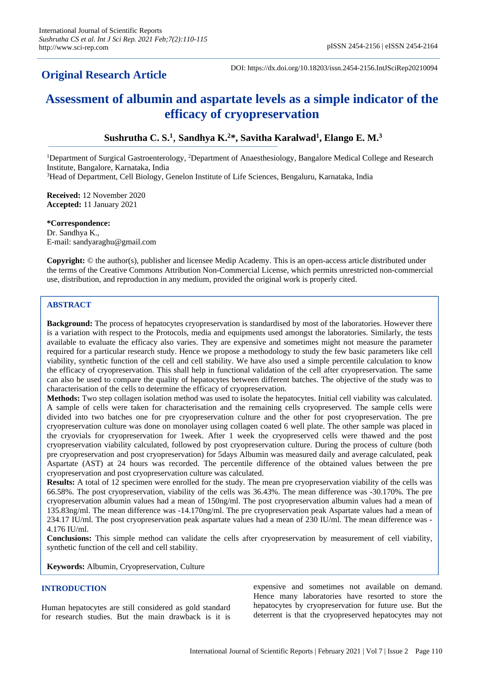## **Original Research Article**

DOI: https://dx.doi.org/10.18203/issn.2454-2156.IntJSciRep20210094

# **Assessment of albumin and aspartate levels as a simple indicator of the efficacy of cryopreservation**

### **Sushrutha C. S.<sup>1</sup>** , **Sandhya K.<sup>2</sup>\*, Savitha Karalwad<sup>1</sup> , Elango E. M.<sup>3</sup>**

<sup>1</sup>Department of Surgical Gastroenterology, <sup>2</sup>Department of Anaesthesiology, Bangalore Medical College and Research Institute, Bangalore, Karnataka, India

<sup>3</sup>Head of Department, Cell Biology, Genelon Institute of Life Sciences, Bengaluru, Karnataka, India

**Received:** 12 November 2020 **Accepted:** 11 January 2021

**\*Correspondence:** Dr. Sandhya K., E-mail: sandyaraghu@gmail.com

**Copyright:** © the author(s), publisher and licensee Medip Academy. This is an open-access article distributed under the terms of the Creative Commons Attribution Non-Commercial License, which permits unrestricted non-commercial use, distribution, and reproduction in any medium, provided the original work is properly cited.

#### **ABSTRACT**

**Background:** The process of hepatocytes cryopreservation is standardised by most of the laboratories. However there is a variation with respect to the Protocols, media and equipments used amongst the laboratories. Similarly, the tests available to evaluate the efficacy also varies. They are expensive and sometimes might not measure the parameter required for a particular research study. Hence we propose a methodology to study the few basic parameters like cell viability, synthetic function of the cell and cell stability. We have also used a simple percentile calculation to know the efficacy of cryopreservation. This shall help in functional validation of the cell after cryopreservation. The same can also be used to compare the quality of hepatocytes between different batches. The objective of the study was to characterisation of the cells to determine the efficacy of cryopreservation.

**Methods:** Two step collagen isolation method was used to isolate the hepatocytes. Initial cell viability was calculated. A sample of cells were taken for characterisation and the remaining cells cryopreserved. The sample cells were divided into two batches one for pre cryopreservation culture and the other for post cryopreservation. The pre cryopreservation culture was done on monolayer using collagen coated 6 well plate. The other sample was placed in the cryovials for cryopreservation for 1week. After 1 week the cryopreserved cells were thawed and the post cryopreservation viability calculated, followed by post cryopreservation culture. During the process of culture (both pre cryopreservation and post cryopreservation) for 5days Albumin was measured daily and average calculated, peak Aspartate (AST) at 24 hours was recorded. The percentile difference of the obtained values between the pre cryopreservation and post cryopreservation culture was calculated.

**Results:** A total of 12 specimen were enrolled for the study. The mean pre cryopreservation viability of the cells was 66.58%. The post cryopreservation, viability of the cells was 36.43%. The mean difference was -30.170%. The pre cryopreservation albumin values had a mean of 150ng/ml. The post cryopreservation albumin values had a mean of 135.83ng/ml. The mean difference was -14.170ng/ml. The pre cryopreservation peak Aspartate values had a mean of 234.17 IU/ml. The post cryopreservation peak aspartate values had a mean of 230 IU/ml. The mean difference was - 4.176 IU/ml.

**Conclusions:** This simple method can validate the cells after cryopreservation by measurement of cell viability, synthetic function of the cell and cell stability.

**Keywords:** Albumin, Cryopreservation, Culture

#### **INTRODUCTION**

Human hepatocytes are still considered as gold standard for research studies. But the main drawback is it is expensive and sometimes not available on demand. Hence many laboratories have resorted to store the hepatocytes by cryopreservation for future use. But the deterrent is that the cryopreserved hepatocytes may not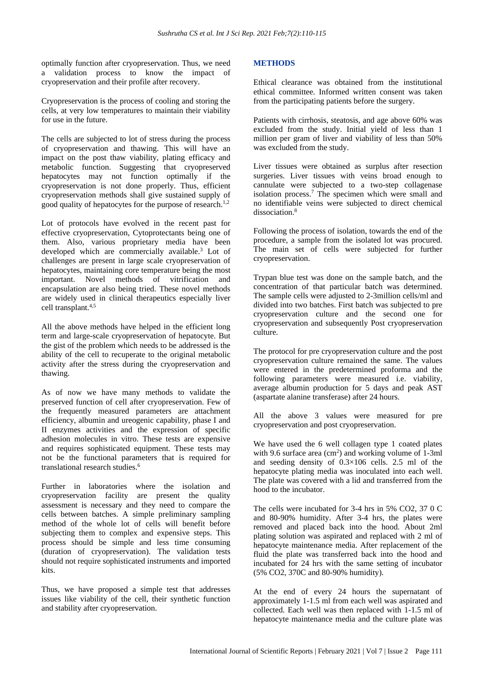optimally function after cryopreservation. Thus, we need a validation process to know the impact of cryopreservation and their profile after recovery.

Cryopreservation is the process of cooling and storing the cells, at very low temperatures to maintain their viability for use in the future.

The cells are subjected to lot of stress during the process of cryopreservation and thawing. This will have an impact on the post thaw viability, plating efficacy and metabolic function. Suggesting that cryopreserved hepatocytes may not function optimally if the cryopreservation is not done properly. Thus, efficient cryopreservation methods shall give sustained supply of good quality of hepatocytes for the purpose of research.<sup>1,2</sup>

Lot of protocols have evolved in the recent past for effective cryopreservation, Cytoprotectants being one of them. Also, various proprietary media have been developed which are commercially available.<sup>3</sup> Lot of challenges are present in large scale cryopreservation of hepatocytes, maintaining core temperature being the most important. Novel methods of vitrification and encapsulation are also being tried. These novel methods are widely used in clinical therapeutics especially liver cell transplant.<sup>4,5</sup>

All the above methods have helped in the efficient long term and large-scale cryopreservation of hepatocyte. But the gist of the problem which needs to be addressed is the ability of the cell to recuperate to the original metabolic activity after the stress during the cryopreservation and thawing.

As of now we have many methods to validate the preserved function of cell after cryopreservation. Few of the frequently measured parameters are attachment efficiency, albumin and ureogenic capability, phase I and II enzymes activities and the expression of specific adhesion molecules in vitro. These tests are expensive and requires sophisticated equipment. These tests may not be the functional parameters that is required for translational research studies. 6

Further in laboratories where the isolation and cryopreservation facility are present the quality assessment is necessary and they need to compare the cells between batches. A simple preliminary sampling method of the whole lot of cells will benefit before subjecting them to complex and expensive steps. This process should be simple and less time consuming (duration of cryopreservation). The validation tests should not require sophisticated instruments and imported kits.

Thus, we have proposed a simple test that addresses issues like viability of the cell, their synthetic function and stability after cryopreservation.

#### **METHODS**

Ethical clearance was obtained from the institutional ethical committee. Informed written consent was taken from the participating patients before the surgery.

Patients with cirrhosis, steatosis, and age above 60% was excluded from the study. Initial yield of less than 1 million per gram of liver and viability of less than 50% was excluded from the study.

Liver tissues were obtained as surplus after resection surgeries. Liver tissues with veins broad enough to cannulate were subjected to a two-step collagenase isolation process.<sup>7</sup> The specimen which were small and no identifiable veins were subjected to direct chemical dissociation.<sup>8</sup>

Following the process of isolation, towards the end of the procedure, a sample from the isolated lot was procured. The main set of cells were subjected for further cryopreservation.

Trypan blue test was done on the sample batch, and the concentration of that particular batch was determined. The sample cells were adjusted to 2-3million cells/ml and divided into two batches. First batch was subjected to pre cryopreservation culture and the second one for cryopreservation and subsequently Post cryopreservation culture.

The protocol for pre cryopreservation culture and the post cryopreservation culture remained the same. The values were entered in the predetermined proforma and the following parameters were measured i.e. viability, average albumin production for 5 days and peak AST (aspartate alanine transferase) after 24 hours.

All the above 3 values were measured for pre cryopreservation and post cryopreservation.

We have used the 6 well collagen type 1 coated plates with 9.6 surface area  $(cm<sup>2</sup>)$  and working volume of 1-3ml and seeding density of  $0.3 \times 106$  cells. 2.5 ml of the hepatocyte plating media was inoculated into each well. The plate was covered with a lid and transferred from the hood to the incubator.

The cells were incubated for 3-4 hrs in 5% CO2, 37 0 C and 80-90% humidity. After 3-4 hrs, the plates were removed and placed back into the hood. About 2ml plating solution was aspirated and replaced with 2 ml of hepatocyte maintenance media. After replacement of the fluid the plate was transferred back into the hood and incubated for 24 hrs with the same setting of incubator (5% CO2, 370C and 80-90% humidity).

At the end of every 24 hours the supernatant of approximately 1-1.5 ml from each well was aspirated and collected. Each well was then replaced with 1-1.5 ml of hepatocyte maintenance media and the culture plate was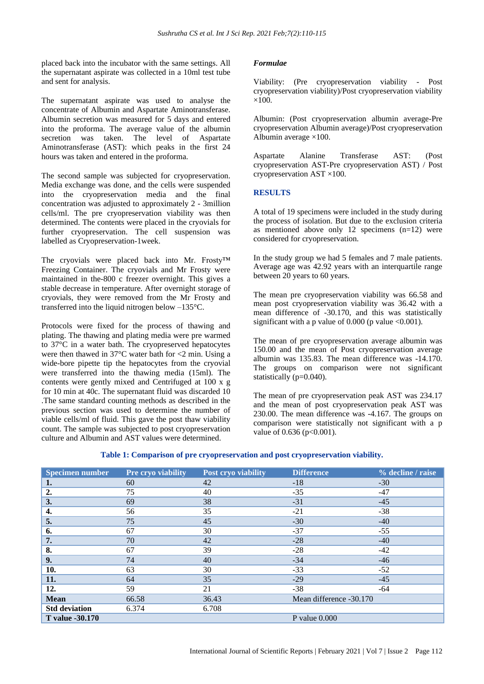placed back into the incubator with the same settings. All the supernatant aspirate was collected in a 10ml test tube and sent for analysis.

The supernatant aspirate was used to analyse the concentrate of Albumin and Aspartate Aminotransferase. Albumin secretion was measured for 5 days and entered into the proforma. The average value of the albumin secretion was taken. The level of Aspartate Aminotransferase (AST): which peaks in the first 24 hours was taken and entered in the proforma.

The second sample was subjected for cryopreservation. Media exchange was done, and the cells were suspended into the cryopreservation media and the final concentration was adjusted to approximately 2 - 3million cells/ml. The pre cryopreservation viability was then determined. The contents were placed in the cryovials for further cryopreservation. The cell suspension was labelled as Cryopreservation-1week.

The cryovials were placed back into Mr. Frosty™ Freezing Container. The cryovials and Mr Frosty were maintained in the-800 c freezer overnight. This gives a stable decrease in temperature. After overnight storage of cryovials, they were removed from the Mr Frosty and transferred into the liquid nitrogen below –135°C.

Protocols were fixed for the process of thawing and plating. The thawing and plating media were pre warmed to 37°C in a water bath. The cryopreserved hepatocytes were then thawed in 37°C water bath for <2 min. Using a wide-bore pipette tip the hepatocytes from the cryovial were transferred into the thawing media (15ml). The contents were gently mixed and Centrifuged at 100 x g for 10 min at 40c. The supernatant fluid was discarded 10 .The same standard counting methods as described in the previous section was used to determine the number of viable cells/ml of fluid. This gave the post thaw viability count. The sample was subjected to post cryopreservation culture and Albumin and AST values were determined.

#### *Formulae*

Viability: (Pre cryopreservation viability - Post cryopreservation viability)/Post cryopreservation viability  $\times$ 100.

Albumin: (Post cryopreservation albumin average-Pre cryopreservation Albumin average)/Post cryopreservation Albumin average  $\times 100$ .

Aspartate Alanine Transferase AST: (Post cryopreservation AST-Pre cryopreservation AST) / Post cryopreservation AST ×100.

#### **RESULTS**

A total of 19 specimens were included in the study during the process of isolation. But due to the exclusion criteria as mentioned above only 12 specimens (n=12) were considered for cryopreservation.

In the study group we had 5 females and 7 male patients. Average age was 42.92 years with an interquartile range between 20 years to 60 years.

The mean pre cryopreservation viability was 66.58 and mean post cryopreservation viability was 36.42 with a mean difference of -30.170, and this was statistically significant with a p value of  $0.000$  (p value <0.001).

The mean of pre cryopreservation average albumin was 150.00 and the mean of Post cryopreservation average albumin was 135.83. The mean difference was -14.170. The groups on comparison were not significant statistically (p=0.040).

The mean of pre cryopreservation peak AST was 234.17 and the mean of post cryopreservation peak AST was 230.00. The mean difference was -4.167. The groups on comparison were statistically not significant with a p value of  $0.636$  ( $p<0.001$ ).

| <b>Specimen number</b> | <b>Pre cryo viability</b> | Post cryo viability | <b>Difference</b>       | % decline / raise |
|------------------------|---------------------------|---------------------|-------------------------|-------------------|
| 1.                     | 60                        | 42                  | $-18$                   | $-30$             |
| 2.                     | 75                        | 40                  | $-35$                   | $-47$             |
| 3.                     | 69                        | 38                  | $-31$                   | $-45$             |
| 4.                     | 56                        | 35                  | $-21$                   | $-38$             |
| 5.                     | 75                        | 45                  | $-30$                   | $-40$             |
| 6.                     | 67                        | 30                  | $-37$                   | $-55$             |
| 7.                     | 70                        | 42                  | $-28$                   | $-40$             |
| 8.                     | 67                        | 39                  | $-28$                   | $-42$             |
| 9.                     | 74                        | 40                  | $-34$                   | $-46$             |
| 10.                    | 63                        | 30                  | $-33$                   | $-52$             |
| 11.                    | 64                        | 35                  | $-29$                   | $-45$             |
| 12.                    | 59                        | 21                  | $-38$                   | $-64$             |
| <b>Mean</b>            | 66.58                     | 36.43               | Mean difference -30.170 |                   |
| <b>Std deviation</b>   | 6.374                     | 6.708               |                         |                   |
| <b>T</b> value -30.170 |                           |                     | P value $0.000$         |                   |

#### **Table 1: Comparison of pre cryopreservation and post cryopreservation viability.**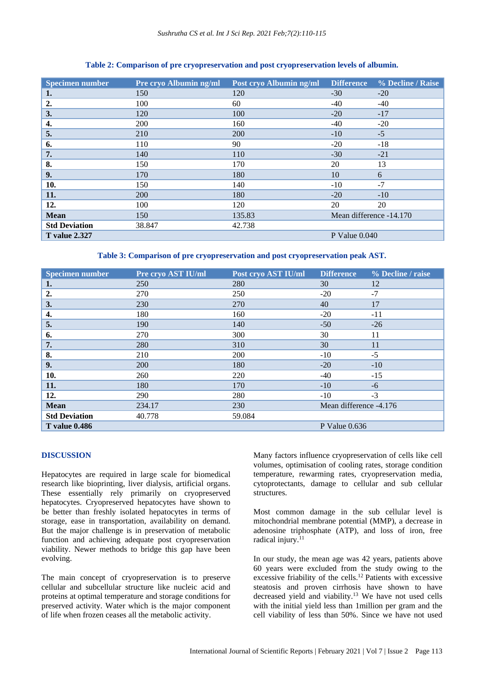#### **Table 2: Comparison of pre cryopreservation and post cryopreservation levels of albumin.**

| <b>Specimen number</b> | Pre cryo Albumin ng/ml | Post cryo Albumin ng/ml | <b>Difference</b>       | % Decline / Raise |
|------------------------|------------------------|-------------------------|-------------------------|-------------------|
| 1.                     | 150                    | 120                     | $-30$                   | $-20$             |
| 2.                     | 100                    | 60                      | -40                     | $-40$             |
| 3.                     | 120                    | 100                     | $-20$                   | $-17$             |
| 4.                     | 200                    | 160                     | $-40$                   | $-20$             |
| 5.                     | 210                    | 200                     | $-10$                   | $-5$              |
| 6.                     | 110                    | 90                      | $-20$                   | $-18$             |
| 7.                     | 140                    | 110                     | $-30$                   | $-21$             |
| 8.                     | 150                    | 170                     | 20                      | 13                |
| 9.                     | 170                    | 180                     | 10                      | 6                 |
| 10.                    | 150                    | 140                     | $-10$                   | $-7$              |
| 11.                    | <b>200</b>             | 180                     | $-20$                   | $-10$             |
| 12.                    | 100                    | 120                     | 20                      | 20                |
| <b>Mean</b>            | 150                    | 135.83                  | Mean difference -14.170 |                   |
| <b>Std Deviation</b>   | 38.847                 | 42.738                  |                         |                   |
| <b>T</b> value 2.327   |                        |                         | $P$ Value $0.040$       |                   |

**Table 3: Comparison of pre cryopreservation and post cryopreservation peak AST.**

| <b>Specimen number</b> | Pre cryo AST IU/ml | Post cryo AST IU/ml | <b>Difference</b>      | % Decline / raise |
|------------------------|--------------------|---------------------|------------------------|-------------------|
| 1.                     | 250                | 280                 | 30                     | 12                |
| 2.                     | 270                | 250                 | $-20$                  | $-7$              |
| 3.                     | 230                | 270                 | 40                     | 17                |
| 4.                     | 180                | 160                 | $-20$                  | $-11$             |
| 5.                     | 190                | 140                 | $-50$                  | $-26$             |
| 6.                     | 270                | 300                 | 30                     | 11                |
| 7.                     | 280                | 310                 | 30                     | 11                |
| 8.                     | 210                | 200                 | $-10$                  | $-5$              |
| 9.                     | 200                | 180                 | $-20$                  | $-10$             |
| 10.                    | 260                | 220                 | $-40$                  | $-15$             |
| 11.                    | 180                | 170                 | $-10$                  | $-6$              |
| 12.                    | 290                | 280                 | $-10$                  | $-3$              |
| <b>Mean</b>            | 234.17             | 230                 | Mean difference -4.176 |                   |
| <b>Std Deviation</b>   | 40.778             | 59.084              |                        |                   |
| <b>T</b> value 0.486   |                    |                     | P Value $0.636$        |                   |

#### **DISCUSSION**

Hepatocytes are required in large scale for biomedical research like bioprinting, liver dialysis, artificial organs. These essentially rely primarily on cryopreserved hepatocytes. Cryopreserved hepatocytes have shown to be better than freshly isolated hepatocytes in terms of storage, ease in transportation, availability on demand. But the major challenge is in preservation of metabolic function and achieving adequate post cryopreservation viability. Newer methods to bridge this gap have been evolving.

The main concept of cryopreservation is to preserve cellular and subcellular structure like nucleic acid and proteins at optimal temperature and storage conditions for preserved activity. Water which is the major component of life when frozen ceases all the metabolic activity.

Many factors influence cryopreservation of cells like cell volumes, optimisation of cooling rates, storage condition temperature, rewarming rates, cryopreservation media, cytoprotectants, damage to cellular and sub cellular structures.

Most common damage in the sub cellular level is mitochondrial membrane potential (MMP), a decrease in adenosine triphosphate (ATP), and loss of iron, free radical injury.<sup>11</sup>

In our study, the mean age was 42 years, patients above 60 years were excluded from the study owing to the excessive friability of the cells.<sup>12</sup> Patients with excessive steatosis and proven cirrhosis have shown to have decreased yield and viability.<sup>13</sup> We have not used cells with the initial yield less than 1million per gram and the cell viability of less than 50%. Since we have not used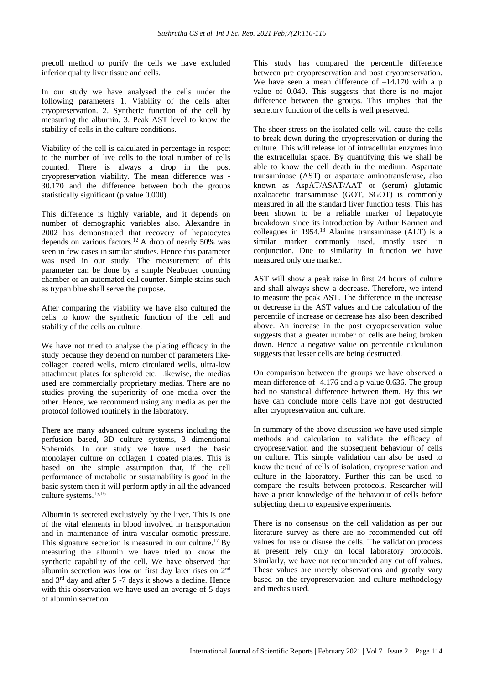precoll method to purify the cells we have excluded inferior quality liver tissue and cells.

In our study we have analysed the cells under the following parameters 1. Viability of the cells after cryopreservation. 2. Synthetic function of the cell by measuring the albumin. 3. Peak AST level to know the stability of cells in the culture conditions.

Viability of the cell is calculated in percentage in respect to the number of live cells to the total number of cells counted. There is always a drop in the post cryopreservation viability. The mean difference was - 30.170 and the difference between both the groups statistically significant (p value 0.000).

This difference is highly variable, and it depends on number of demographic variables also. Alexandre in 2002 has demonstrated that recovery of hepatocytes depends on various factors.<sup>12</sup> A drop of nearly 50% was seen in few cases in similar studies. Hence this parameter was used in our study. The measurement of this parameter can be done by a simple Neubauer counting chamber or an automated cell counter. Simple stains such as trypan blue shall serve the purpose.

After comparing the viability we have also cultured the cells to know the synthetic function of the cell and stability of the cells on culture.

We have not tried to analyse the plating efficacy in the study because they depend on number of parameters likecollagen coated wells, micro circulated wells, ultra-low attachment plates for spheroid etc. Likewise, the medias used are commercially proprietary medias. There are no studies proving the superiority of one media over the other. Hence, we recommend using any media as per the protocol followed routinely in the laboratory.

There are many advanced culture systems including the perfusion based, 3D culture systems, 3 dimentional Spheroids. In our study we have used the basic monolayer culture on collagen 1 coated plates. This is based on the simple assumption that, if the cell performance of metabolic or sustainability is good in the basic system then it will perform aptly in all the advanced culture systems.15,16

Albumin is secreted exclusively by the liver. This is one of the vital elements in blood involved in transportation and in maintenance of intra vascular osmotic pressure. This signature secretion is measured in our culture.<sup>17</sup> By measuring the albumin we have tried to know the synthetic capability of the cell. We have observed that albumin secretion was low on first day later rises on 2<sup>nd</sup> and  $3<sup>rd</sup>$  day and after 5 -7 days it shows a decline. Hence with this observation we have used an average of 5 days of albumin secretion.

This study has compared the percentile difference between pre cryopreservation and post cryopreservation. We have seen a mean difference of  $-14.170$  with a p value of 0.040. This suggests that there is no major difference between the groups. This implies that the secretory function of the cells is well preserved.

The sheer stress on the isolated cells will cause the cells to break down during the cryopreservation or during the culture. This will release lot of intracellular enzymes into the extracellular space. By quantifying this we shall be able to know the cell death in the medium. Aspartate transaminase (AST) or aspartate aminotransferase, also known as AspAT/ASAT/AAT or (serum) glutamic oxaloacetic transaminase (GOT, SGOT) is commonly measured in all the standard liver function tests. This has been shown to be a reliable marker of hepatocyte breakdown since its introduction by Arthur Karmen and colleagues in 1954.<sup>18</sup> Alanine transaminase (ALT) is a similar marker commonly used, mostly used in conjunction. Due to similarity in function we have measured only one marker.

AST will show a peak raise in first 24 hours of culture and shall always show a decrease. Therefore, we intend to measure the peak AST. The difference in the increase or decrease in the AST values and the calculation of the percentile of increase or decrease has also been described above. An increase in the post cryopreservation value suggests that a greater number of cells are being broken down. Hence a negative value on percentile calculation suggests that lesser cells are being destructed.

On comparison between the groups we have observed a mean difference of -4.176 and a p value 0.636. The group had no statistical difference between them. By this we have can conclude more cells have not got destructed after cryopreservation and culture.

In summary of the above discussion we have used simple methods and calculation to validate the efficacy of cryopreservation and the subsequent behaviour of cells on culture. This simple validation can also be used to know the trend of cells of isolation, cryopreservation and culture in the laboratory. Further this can be used to compare the results between protocols. Researcher will have a prior knowledge of the behaviour of cells before subjecting them to expensive experiments.

There is no consensus on the cell validation as per our literature survey as there are no recommended cut off values for use or disuse the cells. The validation process at present rely only on local laboratory protocols. Similarly, we have not recommended any cut off values. These values are merely observations and greatly vary based on the cryopreservation and culture methodology and medias used.